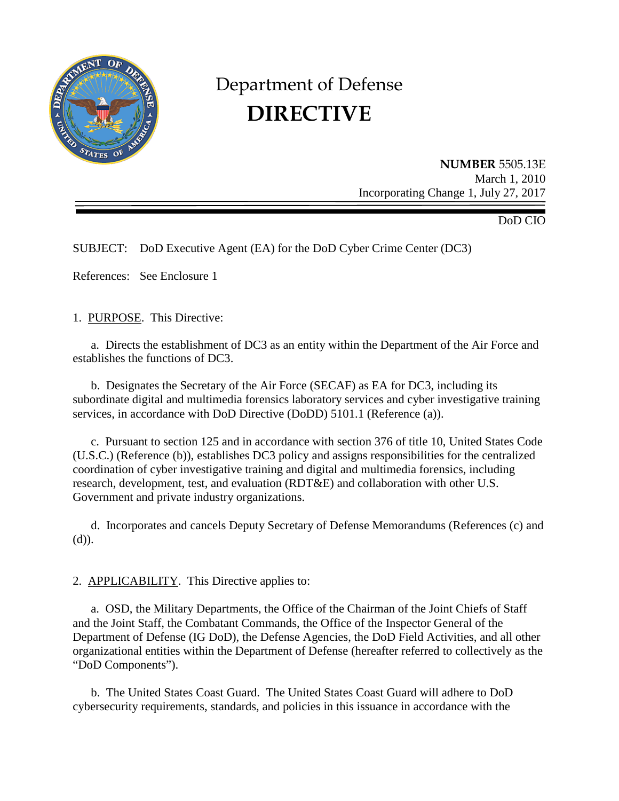

# Department of Defense **DIRECTIVE**

**NUMBER** 5505.13E March 1, 2010 Incorporating Change 1, July 27, 2017

DoD CIO

SUBJECT: DoD Executive Agent (EA) for the DoD Cyber Crime Center (DC3)

References: See Enclosure 1

1. PURPOSE. This Directive:

a. Directs the establishment of DC3 as an entity within the Department of the Air Force and establishes the functions of DC3.

 b. Designates the Secretary of the Air Force (SECAF) as EA for DC3, including its subordinate digital and multimedia forensics laboratory services and cyber investigative training services, in accordance with DoD Directive (DoDD) 5101.1 (Reference (a)).

 c. Pursuant to section 125 and in accordance with section 376 of title 10, United States Code (U.S.C.) (Reference (b)), establishes DC3 policy and assigns responsibilities for the centralized coordination of cyber investigative training and digital and multimedia forensics, including research, development, test, and evaluation (RDT&E) and collaboration with other U.S. Government and private industry organizations.

 d. Incorporates and cancels Deputy Secretary of Defense Memorandums (References (c) and (d)).

2. APPLICABILITY. This Directive applies to:

a. OSD, the Military Departments, the Office of the Chairman of the Joint Chiefs of Staff and the Joint Staff, the Combatant Commands, the Office of the Inspector General of the Department of Defense (IG DoD), the Defense Agencies, the DoD Field Activities, and all other organizational entities within the Department of Defense (hereafter referred to collectively as the "DoD Components").

b. The United States Coast Guard. The United States Coast Guard will adhere to DoD cybersecurity requirements, standards, and policies in this issuance in accordance with the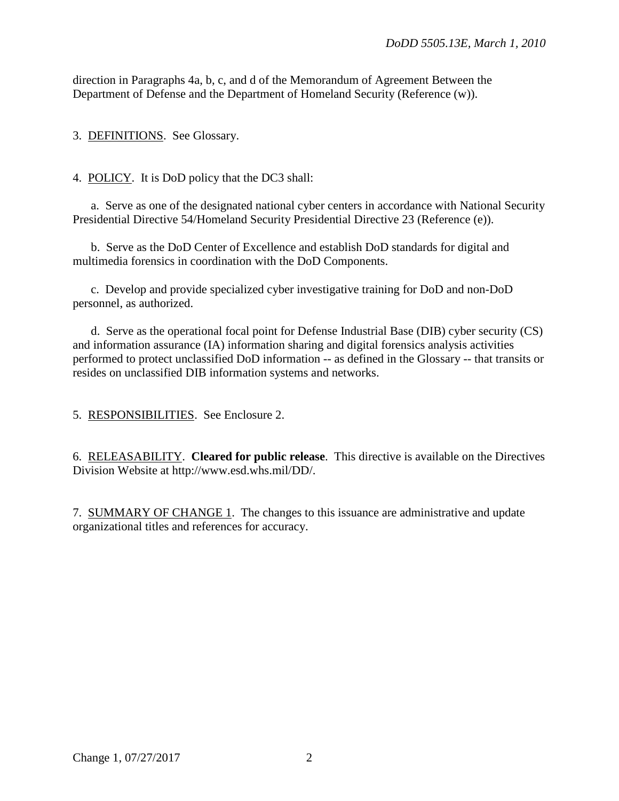direction in Paragraphs 4a, b, c, and d of the Memorandum of Agreement Between the Department of Defense and the Department of Homeland Security (Reference (w)).

3. DEFINITIONS. See Glossary.

4. POLICY. It is DoD policy that the DC3 shall:

a. Serve as one of the designated national cyber centers in accordance with National Security Presidential Directive 54/Homeland Security Presidential Directive 23 (Reference (e)).

b. Serve as the DoD Center of Excellence and establish DoD standards for digital and multimedia forensics in coordination with the DoD Components.

 c. Develop and provide specialized cyber investigative training for DoD and non-DoD personnel, as authorized.

 d. Serve as the operational focal point for Defense Industrial Base (DIB) cyber security (CS) and information assurance (IA) information sharing and digital forensics analysis activities performed to protect unclassified DoD information -- as defined in the Glossary -- that transits or resides on unclassified DIB information systems and networks.

5. RESPONSIBILITIES. See Enclosure 2.

6. RELEASABILITY. **Cleared for public release**. This directive is available on the Directives Division Website at http://www.esd.whs.mil/DD/.

7. SUMMARY OF CHANGE 1. The changes to this issuance are administrative and update organizational titles and references for accuracy.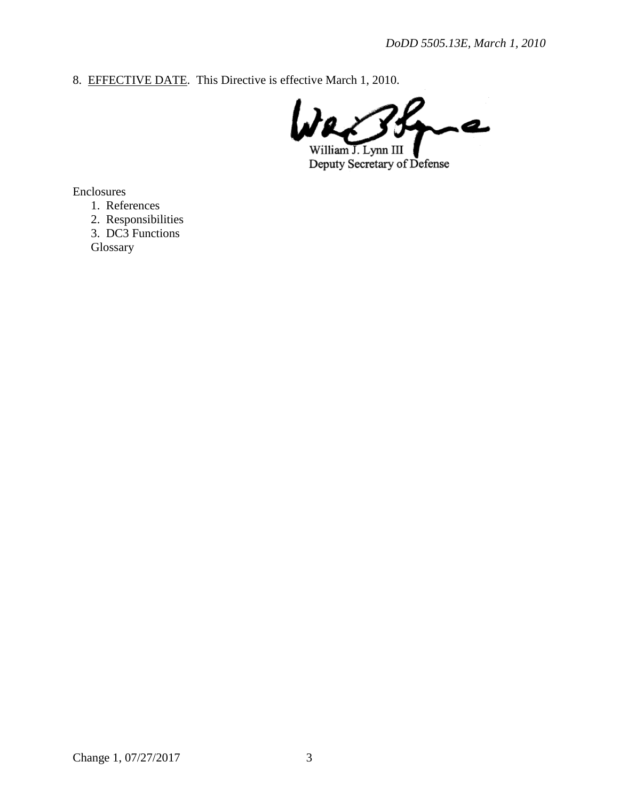8. EFFECTIVE DATE. This Directive is effective March 1, 2010.

-4

William J. Lynn III Deputy Secretary of Defense

Enclosures

- 1. References
- 2. Responsibilities
- 3. DC3 Functions

Glossary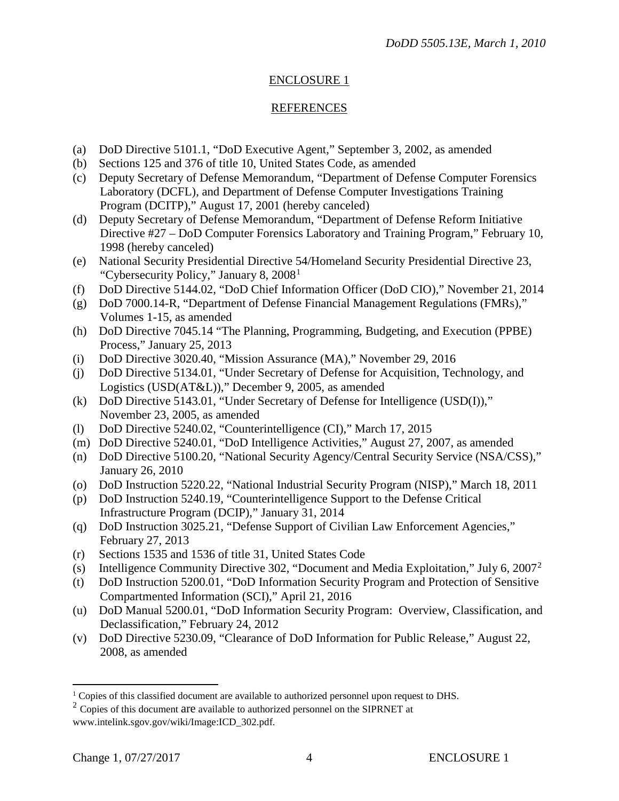# ENCLOSURE 1

### **REFERENCES**

- (a) DoD Directive 5101.1, "DoD Executive Agent," September 3, 2002, as amended
- (b) Sections 125 and 376 of title 10, United States Code, as amended
- (c) Deputy Secretary of Defense Memorandum, "Department of Defense Computer Forensics Laboratory (DCFL), and Department of Defense Computer Investigations Training Program (DCITP)," August 17, 2001 (hereby canceled)
- (d) Deputy Secretary of Defense Memorandum, "Department of Defense Reform Initiative Directive #27 – DoD Computer Forensics Laboratory and Training Program," February 10, 1998 (hereby canceled)
- (e) National Security Presidential Directive 54/Homeland Security Presidential Directive 23, "Cybersecurity Policy," January 8, 2008[1](#page-3-0)
- (f) DoD Directive 5144.02, "DoD Chief Information Officer (DoD CIO)," November 21, 2014
- (g) DoD 7000.14-R, "Department of Defense Financial Management Regulations (FMRs)," Volumes 1-15, as amended
- (h) DoD Directive 7045.14 "The Planning, Programming, Budgeting, and Execution (PPBE) Process," January 25, 2013
- (i) DoD Directive 3020.40, "Mission Assurance (MA)," November 29, 2016
- (j) DoD Directive 5134.01, "Under Secretary of Defense for Acquisition, Technology, and Logistics (USD(AT&L))," December 9, 2005, as amended
- (k) DoD Directive 5143.01, "Under Secretary of Defense for Intelligence (USD(I))," November 23, 2005, as amended
- (l) DoD Directive 5240.02, "Counterintelligence (CI)," March 17, 2015
- (m) DoD Directive 5240.01, "DoD Intelligence Activities," August 27, 2007, as amended
- (n) DoD Directive 5100.20, "National Security Agency/Central Security Service (NSA/CSS)," January 26, 2010
- (o) DoD Instruction 5220.22, "National Industrial Security Program (NISP)," March 18, 2011
- (p) DoD Instruction 5240.19, "Counterintelligence Support to the Defense Critical Infrastructure Program (DCIP)," January 31, 2014
- (q) DoD Instruction 3025.21, "Defense Support of Civilian Law Enforcement Agencies," February 27, 2013
- (r) Sections 1535 and 1536 of title 31, United States Code
- (s) Intelligence Community Directive 302, "Document and Media Exploitation," July 6, 2007[2](#page-3-1)
- (t) DoD Instruction 5200.01, "DoD Information Security Program and Protection of Sensitive Compartmented Information (SCI)," April 21, 2016
- (u) DoD Manual 5200.01, "DoD Information Security Program: Overview, Classification, and Declassification," February 24, 2012
- (v) DoD Directive 5230.09, "Clearance of DoD Information for Public Release," August 22, 2008, as amended

<span id="page-3-0"></span><sup>&</sup>lt;sup>1</sup> Copies of this classified document are available to authorized personnel upon request to DHS.

<span id="page-3-1"></span> $2$  Copies of this document are available to authorized personnel on the SIPRNET at www.intelink.sgov.gov/wiki/Image:ICD\_302.pdf.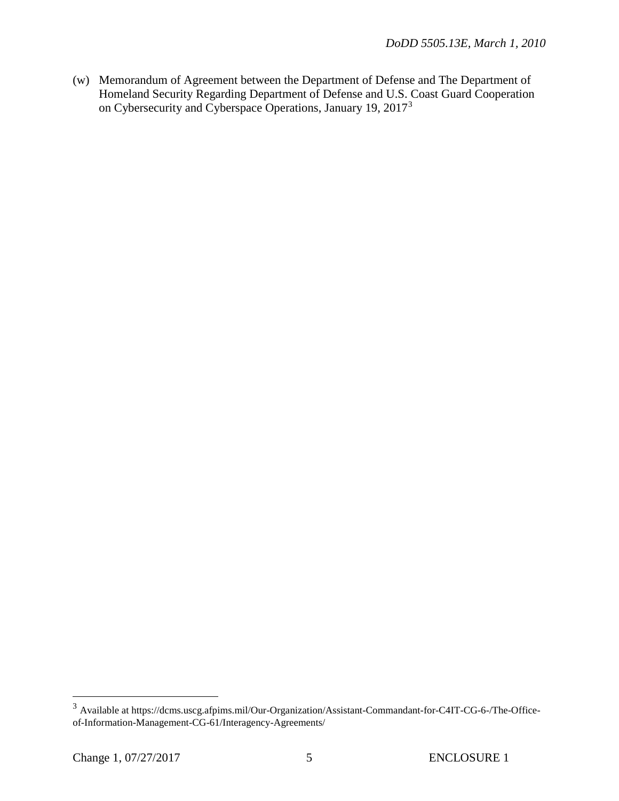(w) Memorandum of Agreement between the Department of Defense and The Department of Homeland Security Regarding Department of Defense and U.S. Coast Guard Cooperation on Cybersecurity and Cyberspace Operations, January 19, 2017[3](#page-4-0)

<span id="page-4-0"></span> <sup>3</sup> Available at https://dcms.uscg.afpims.mil/Our-Organization/Assistant-Commandant-for-C4IT-CG-6-/The-Officeof-Information-Management-CG-61/Interagency-Agreements/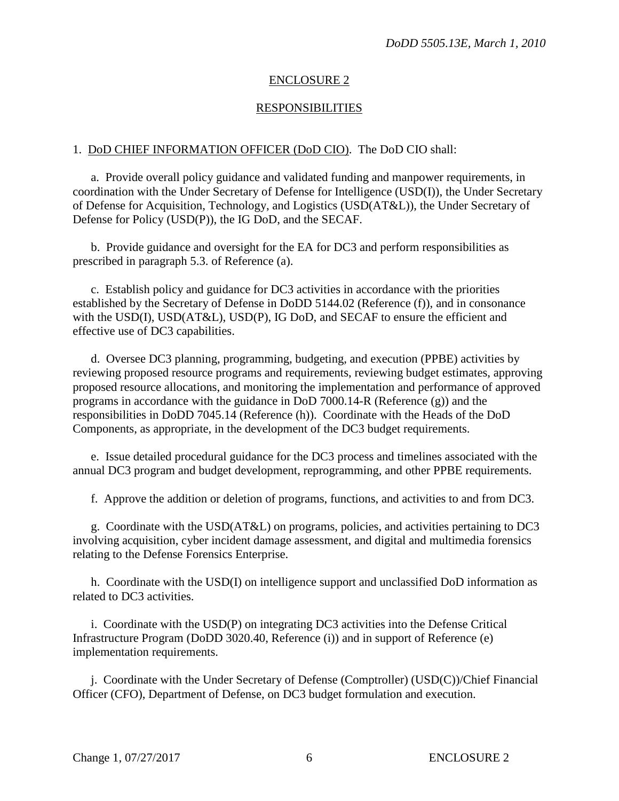#### ENCLOSURE 2

#### **RESPONSIBILITIES**

#### 1. DoD CHIEF INFORMATION OFFICER (DoD CIO). The DoD CIO shall:

a. Provide overall policy guidance and validated funding and manpower requirements, in coordination with the Under Secretary of Defense for Intelligence (USD(I)), the Under Secretary of Defense for Acquisition, Technology, and Logistics (USD(AT&L)), the Under Secretary of Defense for Policy (USD(P)), the IG DoD, and the SECAF.

b. Provide guidance and oversight for the EA for DC3 and perform responsibilities as prescribed in paragraph 5.3. of Reference (a).

c. Establish policy and guidance for DC3 activities in accordance with the priorities established by the Secretary of Defense in DoDD 5144.02 (Reference (f)), and in consonance with the USD(I), USD(AT&L), USD(P), IG DoD, and SECAF to ensure the efficient and effective use of DC3 capabilities.

d. Oversee DC3 planning, programming, budgeting, and execution (PPBE) activities by reviewing proposed resource programs and requirements, reviewing budget estimates, approving proposed resource allocations, and monitoring the implementation and performance of approved programs in accordance with the guidance in DoD 7000.14-R (Reference (g)) and the responsibilities in DoDD 7045.14 (Reference (h)). Coordinate with the Heads of the DoD Components, as appropriate, in the development of the DC3 budget requirements.

e. Issue detailed procedural guidance for the DC3 process and timelines associated with the annual DC3 program and budget development, reprogramming, and other PPBE requirements.

f. Approve the addition or deletion of programs, functions, and activities to and from DC3.

g. Coordinate with the USD(AT&L) on programs, policies, and activities pertaining to DC3 involving acquisition, cyber incident damage assessment, and digital and multimedia forensics relating to the Defense Forensics Enterprise.

h. Coordinate with the USD(I) on intelligence support and unclassified DoD information as related to DC3 activities.

i. Coordinate with the USD(P) on integrating DC3 activities into the Defense Critical Infrastructure Program (DoDD 3020.40, Reference (i)) and in support of Reference (e) implementation requirements.

j. Coordinate with the Under Secretary of Defense (Comptroller) (USD(C))/Chief Financial Officer (CFO), Department of Defense, on DC3 budget formulation and execution.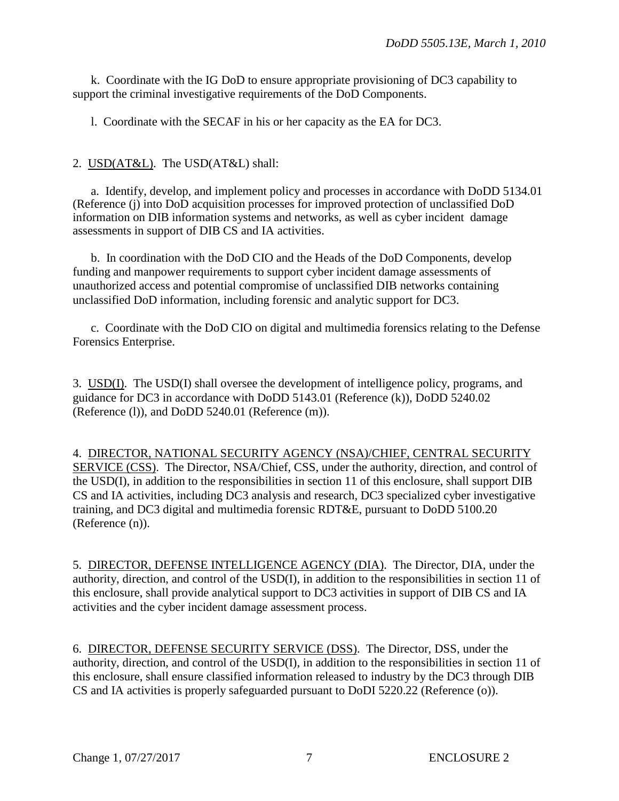k. Coordinate with the IG DoD to ensure appropriate provisioning of DC3 capability to support the criminal investigative requirements of the DoD Components.

l. Coordinate with the SECAF in his or her capacity as the EA for DC3.

2. USD(AT&L). The USD(AT&L) shall:

a. Identify, develop, and implement policy and processes in accordance with DoDD 5134.01 (Reference (j) into DoD acquisition processes for improved protection of unclassified DoD information on DIB information systems and networks, as well as cyber incident damage assessments in support of DIB CS and IA activities.

b. In coordination with the DoD CIO and the Heads of the DoD Components, develop funding and manpower requirements to support cyber incident damage assessments of unauthorized access and potential compromise of unclassified DIB networks containing unclassified DoD information, including forensic and analytic support for DC3.

c. Coordinate with the DoD CIO on digital and multimedia forensics relating to the Defense Forensics Enterprise.

3. USD(I). The USD(I) shall oversee the development of intelligence policy, programs, and guidance for DC3 in accordance with DoDD 5143.01 (Reference (k)), DoDD 5240.02 (Reference (l)), and DoDD 5240.01 (Reference (m)).

4. DIRECTOR, NATIONAL SECURITY AGENCY (NSA)/CHIEF, CENTRAL SECURITY SERVICE (CSS). The Director, NSA/Chief, CSS, under the authority, direction, and control of the USD(I), in addition to the responsibilities in section 11 of this enclosure, shall support DIB CS and IA activities, including DC3 analysis and research, DC3 specialized cyber investigative training, and DC3 digital and multimedia forensic RDT&E, pursuant to DoDD 5100.20 (Reference (n)).

5. DIRECTOR, DEFENSE INTELLIGENCE AGENCY (DIA). The Director, DIA, under the authority, direction, and control of the USD(I), in addition to the responsibilities in section 11 of this enclosure, shall provide analytical support to DC3 activities in support of DIB CS and IA activities and the cyber incident damage assessment process.

6. DIRECTOR, DEFENSE SECURITY SERVICE (DSS). The Director, DSS, under the authority, direction, and control of the USD(I), in addition to the responsibilities in section 11 of this enclosure, shall ensure classified information released to industry by the DC3 through DIB CS and IA activities is properly safeguarded pursuant to DoDI 5220.22 (Reference (o)).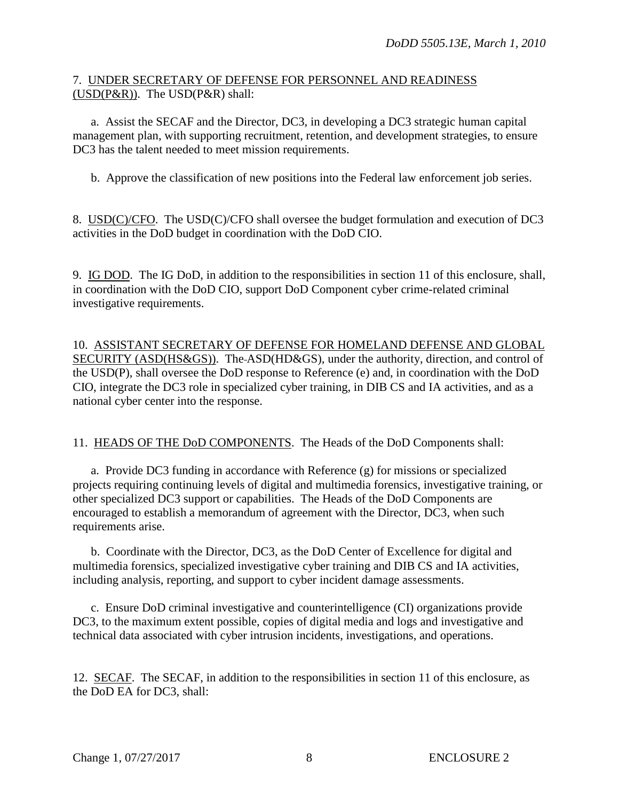#### 7. UNDER SECRETARY OF DEFENSE FOR PERSONNEL AND READINESS (USD(P&R)). The USD(P&R) shall:

a. Assist the SECAF and the Director, DC3, in developing a DC3 strategic human capital management plan, with supporting recruitment, retention, and development strategies, to ensure DC3 has the talent needed to meet mission requirements.

b. Approve the classification of new positions into the Federal law enforcement job series.

8. USD(C)/CFO. The USD(C)/CFO shall oversee the budget formulation and execution of DC3 activities in the DoD budget in coordination with the DoD CIO.

9. IG DOD. The IG DoD, in addition to the responsibilities in section 11 of this enclosure, shall, in coordination with the DoD CIO, support DoD Component cyber crime-related criminal investigative requirements.

10. ASSISTANT SECRETARY OF DEFENSE FOR HOMELAND DEFENSE AND GLOBAL SECURITY (ASD(HS&GS)). The ASD(HD&GS), under the authority, direction, and control of the USD(P), shall oversee the DoD response to Reference (e) and, in coordination with the DoD CIO, integrate the DC3 role in specialized cyber training, in DIB CS and IA activities, and as a national cyber center into the response.

11. HEADS OF THE DoD COMPONENTS. The Heads of the DoD Components shall:

a. Provide DC3 funding in accordance with Reference (g) for missions or specialized projects requiring continuing levels of digital and multimedia forensics, investigative training, or other specialized DC3 support or capabilities. The Heads of the DoD Components are encouraged to establish a memorandum of agreement with the Director, DC3, when such requirements arise.

b. Coordinate with the Director, DC3, as the DoD Center of Excellence for digital and multimedia forensics, specialized investigative cyber training and DIB CS and IA activities, including analysis, reporting, and support to cyber incident damage assessments.

c.Ensure DoD criminal investigative and counterintelligence (CI) organizations provide DC3, to the maximum extent possible, copies of digital media and logs and investigative and technical data associated with cyber intrusion incidents, investigations, and operations.

12. SECAF. The SECAF, in addition to the responsibilities in section 11 of this enclosure, as the DoD EA for DC3, shall: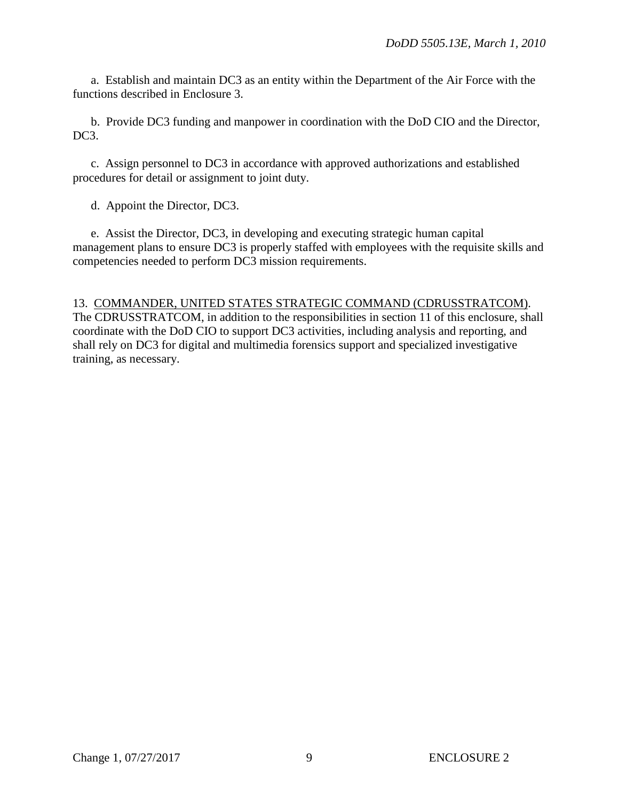a. Establish and maintain DC3 as an entity within the Department of the Air Force with the functions described in Enclosure 3.

b. Provide DC3 funding and manpower in coordination with the DoD CIO and the Director, DC<sub>3</sub>.

c. Assign personnel to DC3 in accordance with approved authorizations and established procedures for detail or assignment to joint duty.

d. Appoint the Director, DC3.

e. Assist the Director, DC3, in developing and executing strategic human capital management plans to ensure DC3 is properly staffed with employees with the requisite skills and competencies needed to perform DC3 mission requirements.

#### 13. COMMANDER, UNITED STATES STRATEGIC COMMAND (CDRUSSTRATCOM).

The CDRUSSTRATCOM, in addition to the responsibilities in section 11 of this enclosure, shall coordinate with the DoD CIO to support DC3 activities, including analysis and reporting, and shall rely on DC3 for digital and multimedia forensics support and specialized investigative training, as necessary.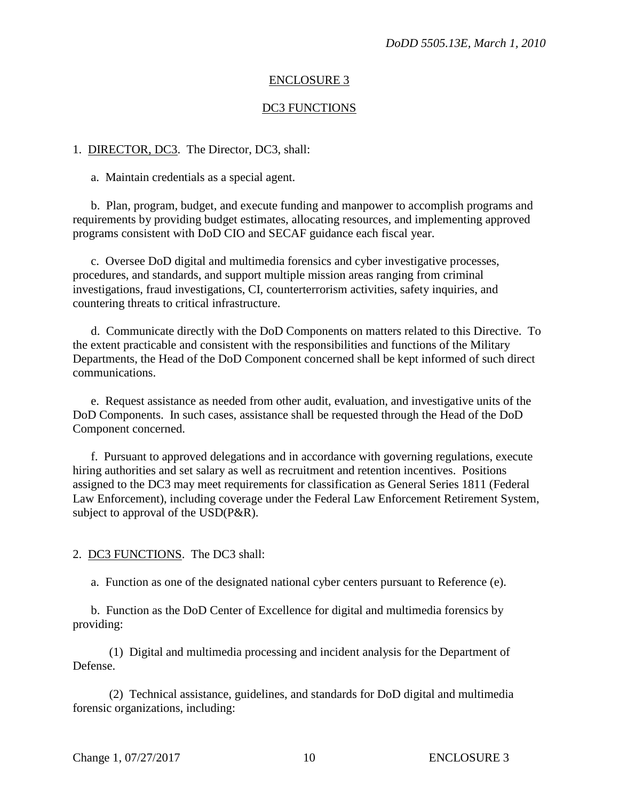#### ENCLOSURE 3

#### DC3 FUNCTIONS

#### 1. DIRECTOR, DC3. The Director, DC3, shall:

a. Maintain credentials as a special agent.

b. Plan, program, budget, and execute funding and manpower to accomplish programs and requirements by providing budget estimates, allocating resources, and implementing approved programs consistent with DoD CIO and SECAF guidance each fiscal year.

c. Oversee DoD digital and multimedia forensics and cyber investigative processes, procedures, and standards, and support multiple mission areas ranging from criminal investigations, fraud investigations, CI, counterterrorism activities, safety inquiries, and countering threats to critical infrastructure.

d. Communicate directly with the DoD Components on matters related to this Directive. To the extent practicable and consistent with the responsibilities and functions of the Military Departments, the Head of the DoD Component concerned shall be kept informed of such direct communications.

e. Request assistance as needed from other audit, evaluation, and investigative units of the DoD Components. In such cases, assistance shall be requested through the Head of the DoD Component concerned.

f. Pursuant to approved delegations and in accordance with governing regulations, execute hiring authorities and set salary as well as recruitment and retention incentives. Positions assigned to the DC3 may meet requirements for classification as General Series 1811 (Federal Law Enforcement), including coverage under the Federal Law Enforcement Retirement System, subject to approval of the USD(P&R).

2. DC3 FUNCTIONS. The DC3 shall:

a. Function as one of the designated national cyber centers pursuant to Reference (e).

b. Function as the DoD Center of Excellence for digital and multimedia forensics by providing:

(1) Digital and multimedia processing and incident analysis for the Department of Defense.

(2) Technical assistance, guidelines, and standards for DoD digital and multimedia forensic organizations, including: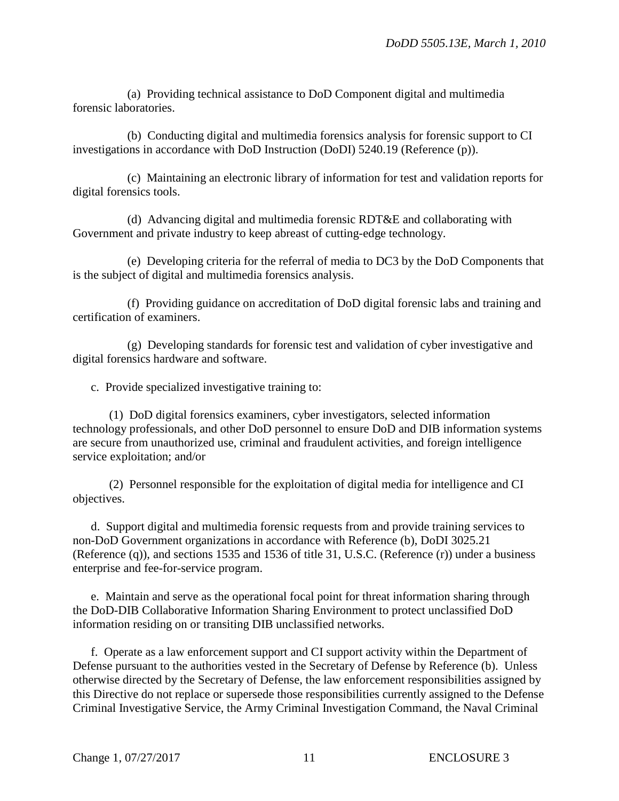(a) Providing technical assistance to DoD Component digital and multimedia forensic laboratories.

(b) Conducting digital and multimedia forensics analysis for forensic support to CI investigations in accordance with DoD Instruction (DoDI) 5240.19 (Reference (p)).

(c) Maintaining an electronic library of information for test and validation reports for digital forensics tools.

(d) Advancing digital and multimedia forensic RDT&E and collaborating with Government and private industry to keep abreast of cutting-edge technology.

(e) Developing criteria for the referral of media to DC3 by the DoD Components that is the subject of digital and multimedia forensics analysis.

(f) Providing guidance on accreditation of DoD digital forensic labs and training and certification of examiners.

(g) Developing standards for forensic test and validation of cyber investigative and digital forensics hardware and software.

c. Provide specialized investigative training to:

(1) DoD digital forensics examiners, cyber investigators, selected information technology professionals, and other DoD personnel to ensure DoD and DIB information systems are secure from unauthorized use, criminal and fraudulent activities, and foreign intelligence service exploitation; and/or

(2) Personnel responsible for the exploitation of digital media for intelligence and CI objectives.

d. Support digital and multimedia forensic requests from and provide training services to non-DoD Government organizations in accordance with Reference (b), DoDI 3025.21 (Reference (q)), and sections 1535 and 1536 of title 31, U.S.C. (Reference (r)) under a business enterprise and fee-for-service program.

e. Maintain and serve as the operational focal point for threat information sharing through the DoD-DIB Collaborative Information Sharing Environment to protect unclassified DoD information residing on or transiting DIB unclassified networks.

f. Operate as a law enforcement support and CI support activity within the Department of Defense pursuant to the authorities vested in the Secretary of Defense by Reference (b). Unless otherwise directed by the Secretary of Defense, the law enforcement responsibilities assigned by this Directive do not replace or supersede those responsibilities currently assigned to the Defense Criminal Investigative Service, the Army Criminal Investigation Command, the Naval Criminal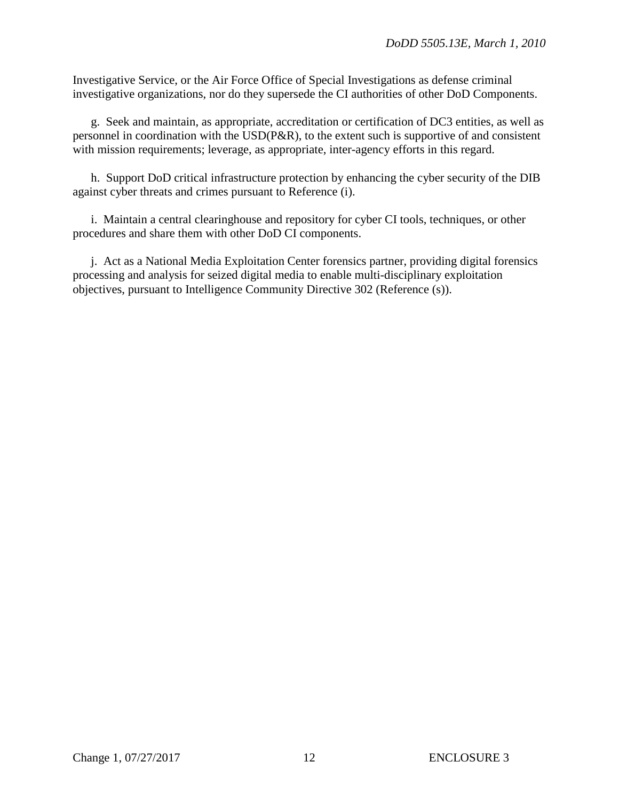Investigative Service, or the Air Force Office of Special Investigations as defense criminal investigative organizations, nor do they supersede the CI authorities of other DoD Components.

g. Seek and maintain, as appropriate, accreditation or certification of DC3 entities, as well as personnel in coordination with the USD(P&R), to the extent such is supportive of and consistent with mission requirements; leverage, as appropriate, inter-agency efforts in this regard.

h. Support DoD critical infrastructure protection by enhancing the cyber security of the DIB against cyber threats and crimes pursuant to Reference (i).

i. Maintain a central clearinghouse and repository for cyber CI tools, techniques, or other procedures and share them with other DoD CI components.

j. Act as a National Media Exploitation Center forensics partner, providing digital forensics processing and analysis for seized digital media to enable multi-disciplinary exploitation objectives, pursuant to Intelligence Community Directive 302 (Reference (s)).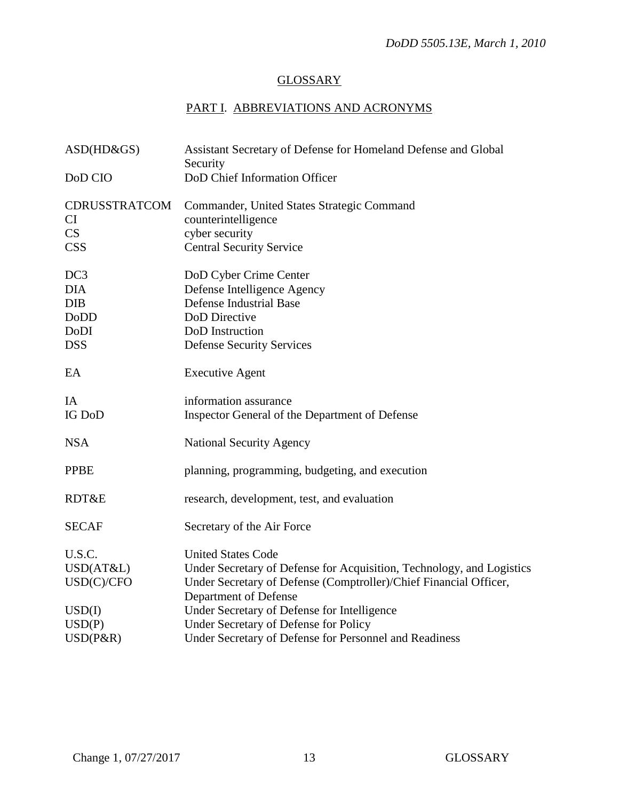# **GLOSSARY**

# PART I. ABBREVIATIONS AND ACRONYMS

| $ASD(HD\&GS)$   | Assistant Secretary of Defense for Homeland Defense and Global<br>Security                 |
|-----------------|--------------------------------------------------------------------------------------------|
| DoD CIO         | DoD Chief Information Officer                                                              |
| CDRUSSTRATCOM   | Commander, United States Strategic Command                                                 |
| CI              | counterintelligence                                                                        |
| CS              | cyber security                                                                             |
| <b>CSS</b>      | <b>Central Security Service</b>                                                            |
| DC <sub>3</sub> | DoD Cyber Crime Center                                                                     |
| <b>DIA</b>      | Defense Intelligence Agency                                                                |
| <b>DIB</b>      | <b>Defense Industrial Base</b>                                                             |
| DoDD            | DoD Directive                                                                              |
| DoDI            | DoD Instruction                                                                            |
| <b>DSS</b>      | <b>Defense Security Services</b>                                                           |
| EA              | <b>Executive Agent</b>                                                                     |
| IA              | information assurance                                                                      |
| <b>IG DoD</b>   | Inspector General of the Department of Defense                                             |
| <b>NSA</b>      | National Security Agency                                                                   |
| <b>PPBE</b>     | planning, programming, budgeting, and execution                                            |
| RDT&E           | research, development, test, and evaluation                                                |
| <b>SECAF</b>    | Secretary of the Air Force                                                                 |
| U.S.C.          | <b>United States Code</b>                                                                  |
| USD(AT&L)       | Under Secretary of Defense for Acquisition, Technology, and Logistics                      |
| USD(C)/CFO      | Under Secretary of Defense (Comptroller)/Chief Financial Officer,<br>Department of Defense |
| USD(I)          | Under Secretary of Defense for Intelligence                                                |
| USD(P)          | Under Secretary of Defense for Policy                                                      |
| $USD(P\&R)$     | Under Secretary of Defense for Personnel and Readiness                                     |
|                 |                                                                                            |